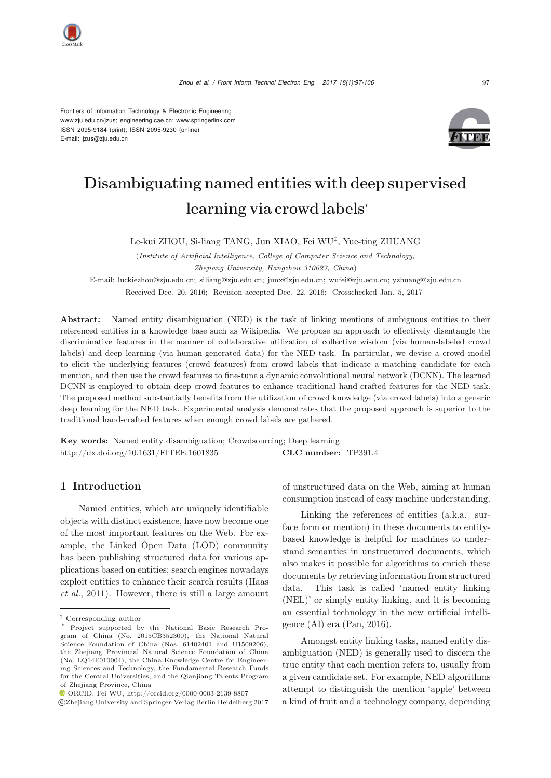Frontiers of Information Technology & Electronic Engineering www.zju.edu.cn/jzus; engineering.cae.cn; www.springerlink.com ISSN 2095-9184 (print); ISSN 2095-9230 (online) E-mail: jzus@zju.edu.cn



# Disambiguating named entities with deep supervised learning via crowd labels<sup>∗</sup>

Le-kui ZHOU, Si-liang TANG, Jun XIAO, Fei WU‡, Yue-ting ZHUANG

(*Institute of Artificial Intelligence, College of Computer Science and Technology, Zhejiang University, Hangzhou 310027, China*)

E-mail: luckiezhou@zju.edu.cn; siliang@zju.edu.cn; junx@zju.edu.cn; wufei@zju.edu.cn; yzhuang@zju.edu.cn Received Dec. 20, 2016; Revision accepted Dec. 22, 2016; Crosschecked Jan. 5, 2017

Abstract: Named entity disambiguation (NED) is the task of linking mentions of ambiguous entities to their referenced entities in a knowledge base such as Wikipedia. We propose an approach to effectively disentangle the discriminative features in the manner of collaborative utilization of collective wisdom (via human-labeled crowd labels) and deep learning (via human-generated data) for the NED task. In particular, we devise a crowd model to elicit the underlying features (crowd features) from crowd labels that indicate a matching candidate for each mention, and then use the crowd features to fine-tune a dynamic convolutional neural network (DCNN). The learned DCNN is employed to obtain deep crowd features to enhance traditional hand-crafted features for the NED task. The proposed method substantially benefits from the utilization of crowd knowledge (via crowd labels) into a generic deep learning for the NED task. Experimental analysis demonstrates that the proposed approach is superior to the traditional hand-crafted features when enough crowd labels are gathered.

Key words: Named entity disambiguation; Crowdsourcing; Deep learning http://dx.doi.org/10.1631/FITEE.1601835 CLC number: TP391.4

## 1 Introduction

Named entities, which are uniquely identifiable objects with distinct existence, have now become one of the most important features on the Web. For example, the Linked Open Data (LOD) community has been publishing structured data for various applications based on entities; search engines nowadays expl[oit](#page-9-0) [entities](#page-9-0) [to](#page-9-0) [enhance](#page-9-0) [their](#page-9-0) [search](#page-9-0) [results](#page-9-0) [\(](#page-9-0)Haas *et al.*, [2011\)](#page-9-0). However, there is still a large amount

of unstructured data on the Web, aiming at human consumption instead of easy machine understanding.

Linking the references of entities (a.k.a. surface form or mention) in these documents to entitybased knowledge is helpful for machines to understand semantics in unstructured documents, which also makes it possible for algorithms to enrich these documents by retrieving information from structured data. This task is called 'named entity linking (NEL)' or simply entity linking, and it is becoming an essential technology in the new artificial intelligence (AI) era [\(Pan, 2016\)](#page-9-1).

Amongst entity linking tasks, named entity disambiguation (NED) is generally used to discern the true entity that each mention refers to, usually from a given candidate set. For example, NED algorithms attempt to distinguish the mention 'apple' between a kind of fruit and a technology company, depending

*<sup>‡</sup>* Corresponding author

Project supported by the National Basic Research Program of China (No. 2015CB352300), the National Natural Science Foundation of China (Nos. 61402401 and U1509206), the Zhejiang Provincial Natural Science Foundation of China (No. LQ14F010004), the China Knowledge Centre for Engineering Sciences and Technology, the Fundamental Research Funds for the Central Universities, and the Qianjiang Talents Program of Zhejiang Province, China

ORCID: Fei WU, http://orcid.org/0000-0003-2139-8807

c Zhejiang University and Springer-Verlag Berlin Heidelberg 2017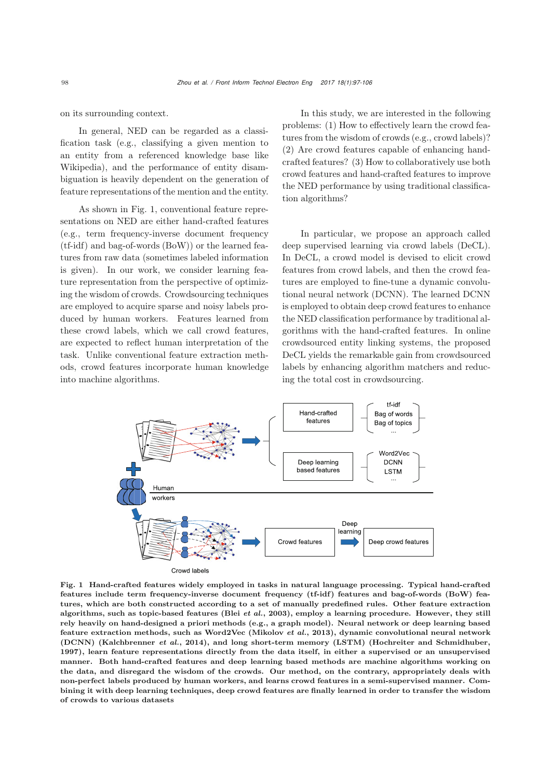on its surrounding context.

In general, NED can be regarded as a classification task (e.g., classifying a given mention to an entity from a referenced knowledge base like Wikipedia), and the performance of entity disambiguation is heavily dependent on the generation of feature representations of the mention and the entity.

As shown in Fig. [1,](#page-1-0) conventional feature representations on NED are either hand-crafted features (e.g., term frequency-inverse document frequency (tf-idf) and bag-of-words (BoW)) or the learned features from raw data (sometimes labeled information is given). In our work, we consider learning feature representation from the perspective of optimizing the wisdom of crowds. Crowdsourcing techniques are employed to acquire sparse and noisy labels produced by human workers. Features learned from these crowd labels, which we call crowd features, are expected to reflect human interpretation of the task. Unlike conventional feature extraction methods, crowd features incorporate human knowledge into machine algorithms.

In this study, we are interested in the following problems: (1) How to effectively learn the crowd features from the wisdom of crowds (e.g., crowd labels)? (2) Are crowd features capable of enhancing handcrafted features? (3) How to collaboratively use both crowd features and hand-crafted features to improve the NED performance by using traditional classification algorithms?

In particular, we propose an approach called deep supervised learning via crowd labels (DeCL). In DeCL, a crowd model is devised to elicit crowd features from crowd labels, and then the crowd features are employed to fine-tune a dynamic convolutional neural network (DCNN). The learned DCNN is employed to obtain deep crowd features to enhance the NED classification performance by traditional algorithms with the hand-crafted features. In online crowdsourced entity linking systems, the proposed DeCL yields the remarkable gain from crowdsourced labels by enhancing algorithm matchers and reducing the total cost in crowdsourcing.



<span id="page-1-0"></span>Fig. 1 Hand-crafted features widely employed in tasks in natural language processing. Typical hand-crafted features include term frequency-inverse document frequency (tf-idf) features and bag-of-words (BoW) features, which are both constructed according to a set of manually predefined rules. Other feature extraction algorithms, such as topic-based features (Blei *[et al.](#page-8-0)*, [2003\)](#page-8-0), employ a learning procedure. However, they still rely heavily on hand-designed a priori methods (e.g., a graph model). Neural network or deep learning based feature extraction methods, such as Word2Vec [\(Mikolov](#page-9-2) *et al.*, [2013](#page-9-2)), dynamic convolutional neural network (DCNN) [\(Kalchbrenner](#page-9-3) *et al.*, [2014\)](#page-9-3), and long short-term memory (LSTM) [\(Hochreiter and Schmidhuber](#page-9-4), [1997\)](#page-9-4), learn feature representations directly from the data itself, in either a supervised or an unsupervised manner. Both hand-crafted features and deep learning based methods are machine algorithms working on the data, and disregard the wisdom of the crowds. Our method, on the contrary, appropriately deals with non-perfect labels produced by human workers, and learns crowd features in a semi-supervised manner. Combining it with deep learning techniques, deep crowd features are finally learned in order to transfer the wisdom of crowds to various datasets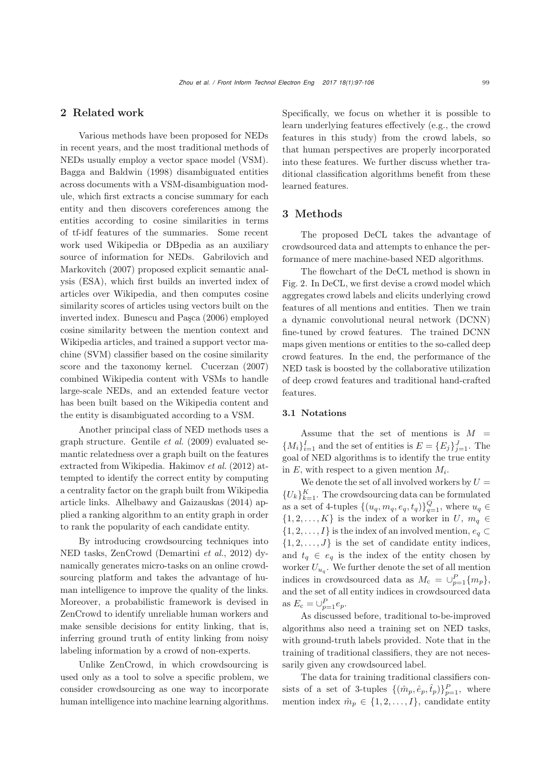## 2 Related work

Various methods have been proposed for NEDs in recent years, and the most traditional methods of NEDs usually employ a vector space model (VSM). [Bagga and Baldwin](#page-8-1) [\(1998\)](#page-8-1) disambiguated entities across documents with a VSM-disambiguation module, which first extracts a concise summary for each entity and then discovers coreferences among the entities according to cosine similarities in terms of tf-idf features of the summaries. Some recent work used Wikipedia or DBpedia as an auxiliary source of i[nformation](#page-9-5) [for](#page-9-5) [NEDs.](#page-9-5) Gabrilovich and Markovitch [\(2007\)](#page-9-5) proposed explicit semantic analysis (ESA), which first builds an inverted index of articles over Wikipedia, and then computes cosine similarity scores of articles using vectors built on the inverted index. [Bunescu and Paşca](#page-8-2) [\(2006\)](#page-8-2) employed cosine similarity between the mention context and Wikipedia articles, and trained a support vector machine (SVM) classifier based on the cosine similarity score and the taxonomy kernel. [Cucerzan](#page-8-3) [\(2007](#page-8-3)) combined Wikipedia content with VSMs to handle large-scale NEDs, and an extended feature vector has been built based on the Wikipedia content and the entity is disambiguated according to a VSM.

Another principal class of NED methods uses a graph structure. [Gentile](#page-9-6) *et al.* [\(2009](#page-9-6)) evaluated semantic relatedness over a graph built on the features extracted from Wikipedia. [Hakimov](#page-9-7) *et al.* [\(2012\)](#page-9-7) attempted to identify the correct entity by computing a centrality factor on the graph built from Wikipedia article links. [Alhelbawy and Gaizauskas](#page-8-4) [\(2014](#page-8-4)) applied a ranking algorithm to an entity graph in order to rank the popularity of each candidate entity.

By introducing crowdsourcing techniques into NED tasks, ZenCrowd [\(Demartini](#page-9-8) *et al.*, [2012\)](#page-9-8) dynamically generates micro-tasks on an online crowdsourcing platform and takes the advantage of human intelligence to improve the quality of the links. Moreover, a probabilistic framework is devised in ZenCrowd to identify unreliable human workers and make sensible decisions for entity linking, that is, inferring ground truth of entity linking from noisy labeling information by a crowd of non-experts.

Unlike ZenCrowd, in which crowdsourcing is used only as a tool to solve a specific problem, we consider crowdsourcing as one way to incorporate human intelligence into machine learning algorithms.

Specifically, we focus on whether it is possible to learn underlying features effectively (e.g., the crowd features in this study) from the crowd labels, so that human perspectives are properly incorporated into these features. We further discuss whether traditional classification algorithms benefit from these learned features.

## 3 Methods

The proposed DeCL takes the advantage of crowdsourced data and attempts to enhance the performance of mere machine-based NED algorithms.

The flowchart of the DeCL method is shown in Fig. 2. In DeCL, we first devise a crowd model which aggregates crowd labels and elicits underlying crowd features of all mentions and entities. Then we train a dynamic convolutional neural network (DCNN) fine-tuned by crowd features. The trained DCNN maps given mentions or entities to the so-called deep crowd features. In the end, the performance of the NED task is boosted by the collaborative utilization of deep crowd features and traditional hand-crafted features.

#### 3.1 Notations

Assume that the set of mentions is  $M =$  ${M_i}_{i=1}^I$  and the set of entities is  $E = {E_j}_{j=1}^J$ . The goal of NED algorithms is to identify the true entity in  $E$ , with respect to a given mention  $M_i$ .

We denote the set of all involved workers by  $U =$  ${U_k}_{k=1}^K$ . The crowdsourcing data can be formulated as a set of 4-tuples  $\{(u_q, m_q, e_q, t_q)\}_{q=1}^Q$ , where  $u_q \in$  $\{1, 2, \ldots, K\}$  is the index of a worker in  $U, m_q \in$  $\{1, 2, \ldots, I\}$  is the index of an involved mention,  $e_q \subset$  $\{1, 2, \ldots, J\}$  is the set of candidate entity indices, and  $t_q \in e_q$  is the index of the entity chosen by worker  $U_{u_q}$ . We further denote the set of all mention indices in crowdsourced data as  $M_c = \bigcup_{p=1}^P \{m_p\},\$ and the set of all entity indices in crowdsourced data as  $E_{\rm c} = \cup_{p=1}^{P} e_p$ .

As discussed before, traditional to-be-improved algorithms also need a training set on NED tasks, with ground-truth labels provided. Note that in the training of traditional classifiers, they are not necessarily given any crowdsourced label.

The data for training traditional classifiers consists of a set of 3-tuples  $\{(\hat{m}_p, \hat{e}_p, \hat{t}_p)\}_{p=1}^P$ , where mention index  $\hat{m}_p \in \{1, 2, ..., I\}$ , candidate entity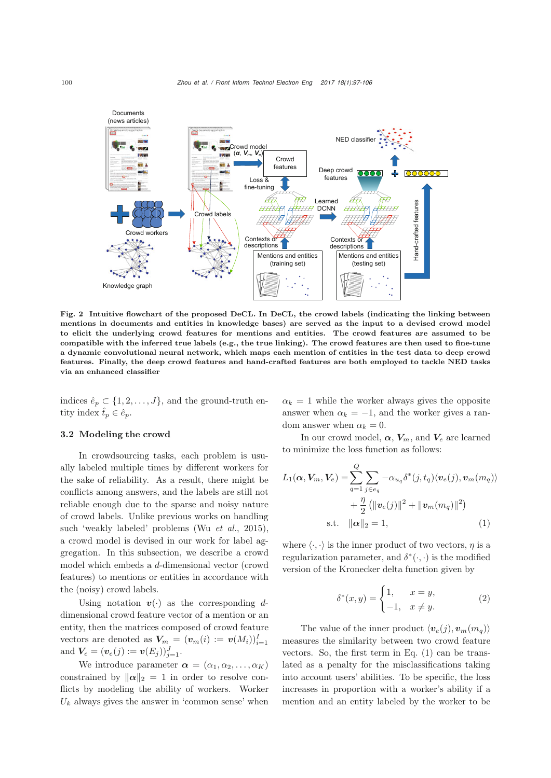

Fig. 2 Intuitive flowchart of the proposed DeCL. In DeCL, the crowd labels (indicating the linking between mentions in documents and entities in knowledge bases) are served as the input to a devised crowd model to elicit the underlying crowd features for mentions and entities. The crowd features are assumed to be compatible with the inferred true labels (e.g., the true linking). The crowd features are then used to fine-tune a dynamic convolutional neural network, which maps each mention of entities in the test data to deep crowd features. Finally, the deep crowd features and hand-crafted features are both employed to tackle NED tasks via an enhanced classifier

indices  $\hat{e}_p \subset \{1, 2, \ldots, J\}$ , and the ground-truth entity index  $\hat{t}_p \in \hat{e}_p$ .

#### 3.2 Modeling the crowd

In crowdsourcing tasks, each problem is usually labeled multiple times by different workers for the sake of reliability. As a result, there might be conflicts among answers, and the labels are still not reliable enough due to the sparse and noisy nature of crowd labels. Unlike previous works on handling such 'weakly labeled' problems (Wu *[et al.](#page-9-9)*, [2015\)](#page-9-9), a crowd model is devised in our work for label aggregation. In this subsection, we describe a crowd model which embeds a d-dimensional vector (crowd features) to mentions or entities in accordance with the (noisy) crowd labels.

Using notation  $v(\cdot)$  as the corresponding ddimensional crowd feature vector of a mention or an entity, then the matrices composed of crowd feature vectors are denoted as  $V_m = (v_m(i) := v(M_i))_{i=1}^I$ and  $V_e = (v_e(j) := v(E_j))_{j=1}^J$ .

We introduce parameter  $\boldsymbol{\alpha} = (\alpha_1, \alpha_2, \dots, \alpha_K)$ constrained by  $\|\alpha\|_2 = 1$  in order to resolve conflicts by modeling the ability of workers. Worker  $U_k$  always gives the answer in 'common sense' when

 $\alpha_k = 1$  while the worker always gives the opposite answer when  $\alpha_k = -1$ , and the worker gives a random answer when  $\alpha_k = 0$ .

In our crowd model,  $\alpha$ ,  $V_m$ , and  $V_e$  are learned to minimize the loss function as follows:

$$
L_1(\boldsymbol{\alpha}, \boldsymbol{V}_m, \boldsymbol{V}_e) = \sum_{q=1}^Q \sum_{j \in e_q} -\alpha_{u_q} \delta^*(j, t_q) \langle \boldsymbol{v}_e(j), \boldsymbol{v}_m(m_q) \rangle
$$
  
+ 
$$
\frac{\eta}{2} (\|\boldsymbol{v}_e(j)\|^2 + \|\boldsymbol{v}_m(m_q)\|^2)
$$
  
s.t. 
$$
\|\boldsymbol{\alpha}\|_2 = 1,
$$
 (1)

where  $\langle \cdot, \cdot \rangle$  is the inner product of two vectors,  $\eta$  is a regularization parameter, and  $\delta^*(\cdot, \cdot)$  is the modified version of the Kronecker delta function given by

<span id="page-3-1"></span><span id="page-3-0"></span>
$$
\delta^*(x, y) = \begin{cases} 1, & x = y, \\ -1, & x \neq y. \end{cases}
$$
 (2)

The value of the inner product  $\langle v_e(j), v_m(m_q) \rangle$ measures the similarity between two crowd feature vectors. So, the first term in Eq. [\(1\)](#page-3-0) can be translated as a penalty for the misclassifications taking into account users' abilities. To be specific, the loss increases in proportion with a worker's ability if a mention and an entity labeled by the worker to be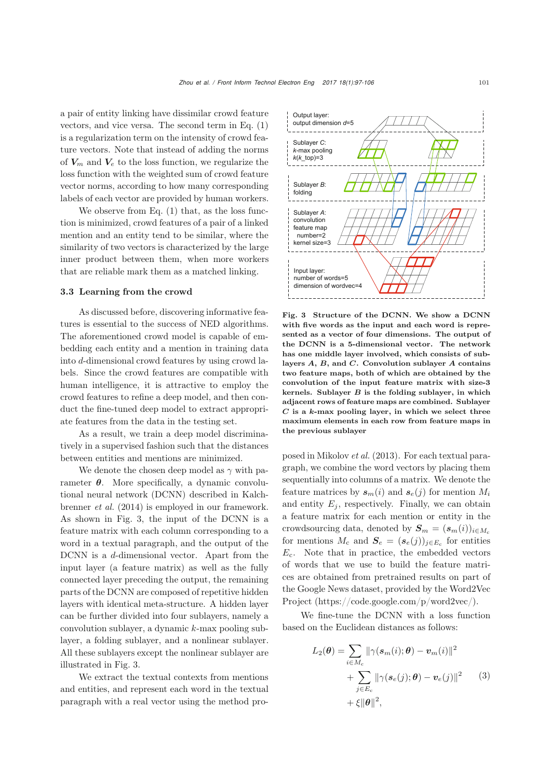a pair of entity linking have dissimilar crowd feature vectors, and vice versa. The second term in Eq. [\(1\)](#page-3-0) is a regularization term on the intensity of crowd feature vectors. Note that instead of adding the norms of  $V_m$  and  $V_e$  to the loss function, we regularize the loss function with the weighted sum of crowd feature vector norms, according to how many corresponding labels of each vector are provided by human workers.

We observe from Eq.  $(1)$  that, as the loss function is minimized, crowd features of a pair of a linked mention and an entity tend to be similar, where the similarity of two vectors is characterized by the large inner product between them, when more workers that are reliable mark them as a matched linking.

#### 3.3 Learning from the crowd

As discussed before, discovering informative features is essential to the success of NED algorithms. The aforementioned crowd model is capable of embedding each entity and a mention in training data into d-dimensional crowd features by using crowd labels. Since the crowd features are compatible with human intelligence, it is attractive to employ the crowd features to refine a deep model, and then conduct the fine-tuned deep model to extract appropriate features from the data in the testing set.

As a result, we train a deep model discriminatively in a supervised fashion such that the distances between entities and mentions are minimized.

We denote the chosen deep model as  $\gamma$  with parameter *θ*. More specifically, a dynamic convolutional neural [network](#page-9-3) [\(DCNN\)](#page-9-3) [described](#page-9-3) [in](#page-9-3) Kalchbrenner *et al.* [\(2014](#page-9-3)) is employed in our framework. As shown in Fig. [3,](#page-4-0) the input of the DCNN is a feature matrix with each column corresponding to a word in a textual paragraph, and the output of the DCNN is a d-dimensional vector. Apart from the input layer (a feature matrix) as well as the fully connected layer preceding the output, the remaining parts of the DCNN are composed of repetitive hidden layers with identical meta-structure. A hidden layer can be further divided into four sublayers, namely a convolution sublayer, a dynamic k-max pooling sublayer, a folding sublayer, and a nonlinear sublayer. All these sublayers except the nonlinear sublayer are illustrated in Fig. [3.](#page-4-0)

We extract the textual contexts from mentions and entities, and represent each word in the textual paragraph with a real vector using the method pro-



<span id="page-4-0"></span>Fig. 3 Structure of the DCNN. We show a DCNN with five words as the input and each word is represented as a vector of four dimensions. The output of the DCNN is a 5-dimensional vector. The network has one middle layer involved, which consists of sublayers *A*, *B*, and *C*. Convolution sublayer *A* contains two feature maps, both of which are obtained by the convolution of the input feature matrix with size-3 kernels. Sublayer *B* is the folding sublayer, in which adjacent rows of feature maps are combined. Sublayer *C* is a *k*-max pooling layer, in which we select three maximum elements in each row from feature maps in the previous sublayer

posed in [Mikolov](#page-9-2) *et al.* [\(2013](#page-9-2)). For each textual paragraph, we combine the word vectors by placing them sequentially into columns of a matrix. We denote the feature matrices by  $s_m(i)$  and  $s_e(j)$  for mention  $M_i$ and entity  $E_j$ , respectively. Finally, we can obtain a feature matrix for each mention or entity in the crowdsourcing data, denoted by  $S_m = (s_m(i))_{i \in M_c}$ for mentions  $M_c$  and  $S_e = (s_e(j))_{i \in E_c}$  for entities  $E<sub>c</sub>$ . Note that in practice, the embedded vectors of words that we use to build the feature matrices are obtained from pretrained results on part of the Google News dataset, provided by the Word2Vec Project (https://code.google.com/p/word2vec/).

We fine-tune the DCNN with a loss function based on the Euclidean distances as follows:

<span id="page-4-1"></span>
$$
L_2(\boldsymbol{\theta}) = \sum_{i \in M_c} ||\gamma(s_m(i); \boldsymbol{\theta}) - \boldsymbol{v}_m(i)||^2
$$
  
+ 
$$
\sum_{j \in E_c} ||\gamma(s_e(j); \boldsymbol{\theta}) - \boldsymbol{v}_e(j)||^2
$$
 (3)  
+ 
$$
\xi ||\boldsymbol{\theta}||^2,
$$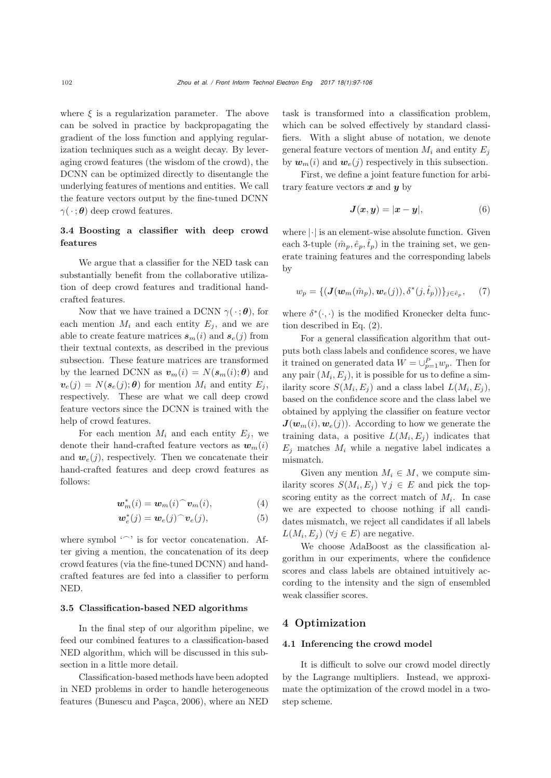where  $\xi$  is a regularization parameter. The above can be solved in practice by backpropagating the gradient of the loss function and applying regularization techniques such as a weight decay. By leveraging crowd features (the wisdom of the crowd), the DCNN can be optimized directly to disentangle the underlying features of mentions and entities. We call the feature vectors output by the fine-tuned DCNN  $\gamma(\cdot;\boldsymbol{\theta})$  deep crowd features.

# 3.4 Boosting a classifier with deep crowd features

We argue that a classifier for the NED task can substantially benefit from the collaborative utilization of deep crowd features and traditional handcrafted features.

Now that we have trained a DCNN  $\gamma(\cdot;\boldsymbol{\theta})$ , for each mention  $M_i$  and each entity  $E_j$ , and we are able to create feature matrices  $s_m(i)$  and  $s_e(j)$  from their textual contexts, as described in the previous subsection. These feature matrices are transformed by the learned DCNN as  $v_m(i) = N(\mathbf{s}_m(i); \boldsymbol{\theta})$  and  $v_e(j) = N(\mathbf{s}_e(j); \boldsymbol{\theta})$  for mention  $M_i$  and entity  $E_j$ , respectively. These are what we call deep crowd feature vectors since the DCNN is trained with the help of crowd features.

For each mention  $M_i$  and each entity  $E_j$ , we denote their hand-crafted feature vectors as  $w_m(i)$ and  $w_e(j)$ , respectively. Then we concatenate their hand-crafted features and deep crowd features as follows:

$$
\boldsymbol{w}_m^*(i) = \boldsymbol{w}_m(i)^\frown \boldsymbol{v}_m(i),\tag{4}
$$

$$
\boldsymbol{w}_e^*(j) = \boldsymbol{w}_e(j)^\frown \boldsymbol{v}_e(j), \tag{5}
$$

where symbol  $\langle \cap \rangle$  is for vector concatenation. After giving a mention, the concatenation of its deep crowd features (via the fine-tuned DCNN) and handcrafted features are fed into a classifier to perform NED.

#### 3.5 Classification-based NED algorithms

In the final step of our algorithm pipeline, we feed our combined features to a classification-based NED algorithm, which will be discussed in this subsection in a little more detail.

Classification-based methods have been adopted in NED problems in order to handle heterogeneous features [\(Bunescu and Paşca](#page-8-2), [2006](#page-8-2)), where an NED task is transformed into a classification problem, which can be solved effectively by standard classifiers. With a slight abuse of notation, we denote general feature vectors of mention  $M_i$  and entity  $E_i$ by  $\mathbf{w}_m(i)$  and  $\mathbf{w}_e(j)$  respectively in this subsection.

First, we define a joint feature function for arbitrary feature vectors *x* and *y* by

$$
\boldsymbol{J}(\boldsymbol{x},\boldsymbol{y}) = |\boldsymbol{x} - \boldsymbol{y}|,\tag{6}
$$

where  $|\cdot|$  is an element-wise absolute function. Given each 3-tuple  $(\hat{m}_p, \hat{e}_p, \hat{t}_p)$  in the training set, we generate training features and the corresponding labels by

$$
w_p = \{ (\mathbf{J}(\mathbf{w}_m(\hat{m}_p), \mathbf{w}_e(j)), \delta^*(j, \hat{t}_p)) \}_{j \in \hat{e}_p}, \quad (7)
$$

where  $\delta^*(\cdot, \cdot)$  is the modified Kronecker delta function described in Eq. [\(2\)](#page-3-1).

For a general classification algorithm that outputs both class labels and confidence scores, we have it trained on generated data  $W = \bigcup_{p=1}^{P} w_p$ . Then for any pair  $(M_i, E_i)$ , it is possible for us to define a similarity score  $S(M_i, E_i)$  and a class label  $L(M_i, E_i)$ , based on the confidence score and the class label we obtained by applying the classifier on feature vector  $J(\boldsymbol{w}_m(i), \boldsymbol{w}_e(j))$ . According to how we generate the training data, a positive  $L(M_i, E_i)$  indicates that  $E_i$  matches  $M_i$  while a negative label indicates a mismatch.

Given any mention  $M_i \in M$ , we compute similarity scores  $S(M_i, E_j)$   $\forall j \in E$  and pick the topscoring entity as the correct match of  $M_i$ . In case we are expected to choose nothing if all candidates mismatch, we reject all candidates if all labels  $L(M_i, E_j)$  ( $\forall j \in E$ ) are negative.

We choose AdaBoost as the classification algorithm in our experiments, where the confidence scores and class labels are obtained intuitively according to the intensity and the sign of ensembled weak classifier scores.

## 4 Optimization

## 4.1 Inferencing the crowd model

It is difficult to solve our crowd model directly by the Lagrange multipliers. Instead, we approximate the optimization of the crowd model in a twostep scheme.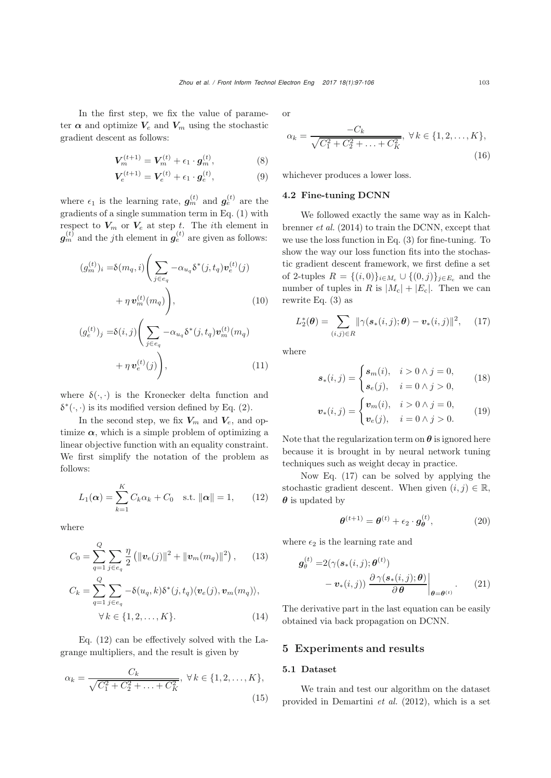In the first step, we fix the value of parameter  $\alpha$  and optimize  $V_e$  and  $V_m$  using the stochastic gradient descent as follows:

$$
V_m^{(t+1)} = V_m^{(t)} + \epsilon_1 \cdot g_m^{(t)},\tag{8}
$$

$$
V_e^{(t+1)} = V_e^{(t)} + \epsilon_1 \cdot g_e^{(t)},\tag{9}
$$

where  $\epsilon_1$  is the learning rate,  $g_m^{(t)}$  and  $g_e^{(t)}$  are the gradients of a single summation term in Eq. [\(1\)](#page-3-0) with respect to  $V_m$  or  $V_e$  at step t. The ith element in  $g_m^{(t)}$  and the *j*th element in  $g_e^{(t)}$  are given as follows:

$$
(g_m^{(t)})_i = \delta(m_q, i) \left( \sum_{j \in e_q} -\alpha_{u_q} \delta^*(j, t_q) \mathbf{v}_e^{(t)}(j) + \eta \mathbf{v}_m^{(t)}(m_q) \right),
$$
\n
$$
(10)
$$

$$
(g_e^{(t)})_j = \delta(i,j) \left( \sum_{j \in e_q} -\alpha_{u_q} \delta^*(j, t_q) \mathbf{v}_m^{(t)}(m_q) + \eta \mathbf{v}_e^{(t)}(j) \right),
$$
\n(11)

where  $\delta(\cdot, \cdot)$  is the Kronecker delta function and  $\delta^*(\cdot, \cdot)$  is its modified version defined by Eq. [\(2\)](#page-3-1).

In the second step, we fix  $V_m$  and  $V_e$ , and optimize  $\alpha$ , which is a simple problem of optimizing a linear objective function with an equality constraint. We first simplify the notation of the problem as follows:

<span id="page-6-0"></span>
$$
L_1(\alpha) = \sum_{k=1}^{K} C_k \alpha_k + C_0 \quad \text{s.t. } \|\alpha\| = 1,
$$
 (12)

where

$$
C_0 = \sum_{q=1}^{Q} \sum_{j \in e_q} \frac{\eta}{2} \left( \| \boldsymbol{v}_e(j) \|^2 + \| \boldsymbol{v}_m(m_q) \|^2 \right), \qquad (13)
$$

$$
C_k = \sum_{q=1}^{Q} \sum_{j \in e_q} -\delta(u_q, k) \delta^*(j, t_q) \langle \boldsymbol{v}_e(j), \boldsymbol{v}_m(m_q) \rangle,
$$
  

$$
\forall k \in \{1, 2, ..., K\}.
$$
 (14)

Eq. [\(12\)](#page-6-0) can be effectively solved with the Lagrange multipliers, and the result is given by

$$
\alpha_k = \frac{C_k}{\sqrt{C_1^2 + C_2^2 + \dots + C_K^2}}, \ \forall \, k \in \{1, 2, \dots, K\},\tag{15}
$$

or

$$
\alpha_k = \frac{-C_k}{\sqrt{C_1^2 + C_2^2 + \dots + C_K^2}}, \ \forall \, k \in \{1, 2, \dots, K\},\tag{16}
$$

whichever produces a lower loss.

### 4.2 Fine-tuning DCNN

We follo[wed](#page-9-3) [exactly](#page-9-3) [the](#page-9-3) [same](#page-9-3) [way](#page-9-3) [as](#page-9-3) [in](#page-9-3) Kalchbrenner *et al.* [\(2014\)](#page-9-3) to train the DCNN, except that we use the loss function in Eq. [\(3\)](#page-4-1) for fine-tuning. To show the way our loss function fits into the stochastic gradient descent framework, we first define a set of 2-tuples  $R = \{(i, 0)\}_{i \in M_c} \cup \{(0, j)\}_{j \in E_c}$  and the number of tuples in R is  $|M_c| + |E_c|$ . Then we can rewrite Eq. [\(3\)](#page-4-1) as

<span id="page-6-1"></span>
$$
L_2^*(\boldsymbol{\theta}) = \sum_{(i,j)\in R} ||\gamma(\mathbf{s}_*(i,j); \boldsymbol{\theta}) - \mathbf{v}_*(i,j)||^2, \quad (17)
$$

where

$$
\mathbf{s}_{*}(i,j) = \begin{cases} \mathbf{s}_{m}(i), & i > 0 \land j = 0, \\ \mathbf{s}_{e}(j), & i = 0 \land j > 0, \end{cases} \tag{18}
$$

$$
\mathbf{v}_{*}(i,j) = \begin{cases} \mathbf{v}_{m}(i), & i > 0 \land j = 0, \\ \mathbf{v}_{e}(j), & i = 0 \land j > 0. \end{cases} \tag{19}
$$

Note that the regularization term on  $\theta$  is ignored here because it is brought in by neural network tuning techniques such as weight decay in practice.

Now Eq. [\(17\)](#page-6-1) can be solved by applying the stochastic gradient descent. When given  $(i, j) \in \mathbb{R}$ , *θ* is updated by

$$
\boldsymbol{\theta}^{(t+1)} = \boldsymbol{\theta}^{(t)} + \epsilon_2 \cdot \boldsymbol{g}_{\boldsymbol{\theta}}^{(t)},
$$
 (20)

where  $\epsilon_2$  is the learning rate and

$$
\mathbf{g}_{\theta}^{(t)} = 2(\gamma(\mathbf{s}_{*}(i,j);\boldsymbol{\theta}^{(t)}) - \mathbf{v}_{*}(i,j)) \frac{\partial \gamma(\mathbf{s}_{*}(i,j);\boldsymbol{\theta})}{\partial \boldsymbol{\theta}}\Big|_{\boldsymbol{\theta} = \boldsymbol{\theta}^{(t)}}.
$$
 (21)

The derivative part in the last equation can be easily obtained via back propagation on DCNN.

## 5 Experiments and results

#### 5.1 Dataset

We train and test our algorithm on the dataset provided in [Demartini](#page-9-8) *et al.* [\(2012](#page-9-8)), which is a set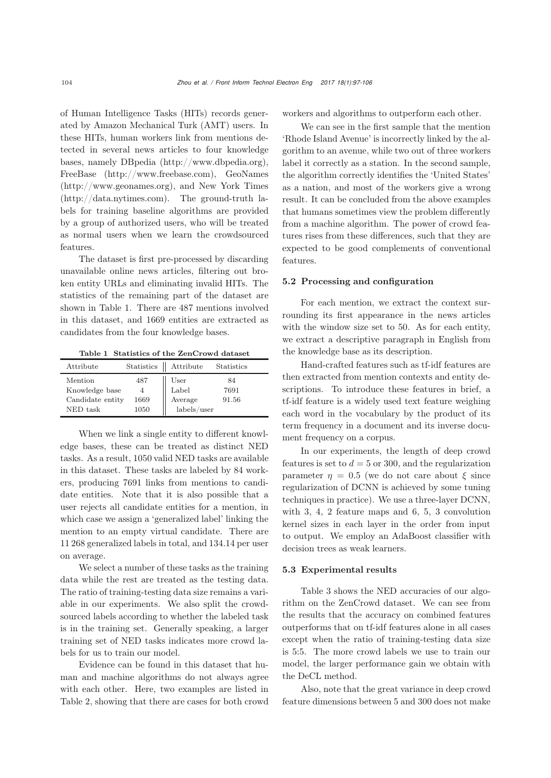of Human Intelligence Tasks (HITs) records generated by Amazon Mechanical Turk (AMT) users. In these HITs, human workers link from mentions detected in several news articles to four knowledge bases, namely DBpedia (http://www.dbpedia.org), FreeBase (http://www.freebase.com), GeoNames (http://www.geonames.org), and New York Times (http://data.nytimes.com). The ground-truth labels for training baseline algorithms are provided by a group of authorized users, who will be treated as normal users when we learn the crowdsourced features.

The dataset is first pre-processed by discarding unavailable online news articles, filtering out broken entity URLs and eliminating invalid HITs. The statistics of the remaining part of the dataset are shown in Table [1.](#page-7-0) There are 487 mentions involved in this dataset, and 1669 entities are extracted as candidates from the four knowledge bases.

<span id="page-7-0"></span>Table 1 Statistics of the ZenCrowd dataset

| Attribute        |      | Statistics   Attribute                                     | Statistics |
|------------------|------|------------------------------------------------------------|------------|
| Mention          | 487  | $\begin{array}{c} \text{User} \\ \text{Label} \end{array}$ | 84         |
| Knowledge base   |      |                                                            | 7691       |
| Candidate entity | 1669 | Average                                                    | 91.56      |
| NED task         | 1050 | labels/user                                                |            |

When we link a single entity to different knowledge bases, these can be treated as distinct NED tasks. As a result, 1050 valid NED tasks are available in this dataset. These tasks are labeled by 84 workers, producing 7691 links from mentions to candidate entities. Note that it is also possible that a user rejects all candidate entities for a mention, in which case we assign a 'generalized label' linking the mention to an empty virtual candidate. There are 11 268 generalized labels in total, and 134.14 per user on average.

We select a number of these tasks as the training data while the rest are treated as the testing data. The ratio of training-testing data size remains a variable in our experiments. We also split the crowdsourced labels according to whether the labeled task is in the training set. Generally speaking, a larger training set of NED tasks indicates more crowd labels for us to train our model.

Evidence can be found in this dataset that human and machine algorithms do not always agree with each other. Here, two examples are listed in Table [2,](#page-8-5) showing that there are cases for both crowd

workers and algorithms to outperform each other.

We can see in the first sample that the mention 'Rhode Island Avenue' is incorrectly linked by the algorithm to an avenue, while two out of three workers label it correctly as a station. In the second sample, the algorithm correctly identifies the 'United States' as a nation, and most of the workers give a wrong result. It can be concluded from the above examples that humans sometimes view the problem differently from a machine algorithm. The power of crowd features rises from these differences, such that they are expected to be good complements of conventional features.

#### 5.2 Processing and configuration

For each mention, we extract the context surrounding its first appearance in the news articles with the window size set to 50. As for each entity, we extract a descriptive paragraph in English from the knowledge base as its description.

Hand-crafted features such as tf-idf features are then extracted from mention contexts and entity descriptions. To introduce these features in brief, a tf-idf feature is a widely used text feature weighing each word in the vocabulary by the product of its term frequency in a document and its inverse document frequency on a corpus.

In our experiments, the length of deep crowd features is set to  $d = 5$  or 300, and the regularization parameter  $\eta = 0.5$  (we do not care about  $\xi$  since regularization of DCNN is achieved by some tuning techniques in practice). We use a three-layer DCNN, with 3, 4, 2 feature maps and 6, 5, 3 convolution kernel sizes in each layer in the order from input to output. We employ an AdaBoost classifier with decision trees as weak learners.

#### 5.3 Experimental results

Table [3](#page-8-6) shows the NED accuracies of our algorithm on the ZenCrowd dataset. We can see from the results that the accuracy on combined features outperforms that on tf-idf features alone in all cases except when the ratio of training-testing data size is 5:5. The more crowd labels we use to train our model, the larger performance gain we obtain with the DeCL method.

Also, note that the great variance in deep crowd feature dimensions between 5 and 300 does not make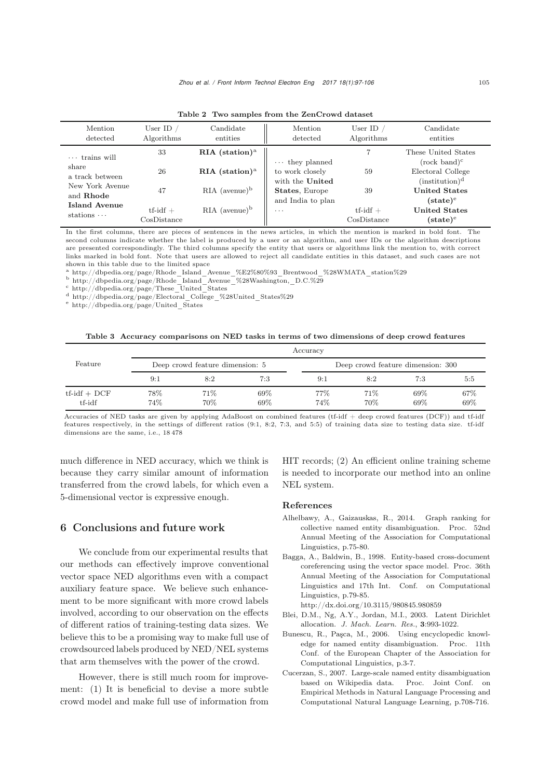| Mention<br>detected                                                                                                       | User ID<br>Algorithms     | Candidate<br>entities        | Mention<br>detected                                | User ID<br>Algorithms     | Candidate<br>entities                                                     |  |
|---------------------------------------------------------------------------------------------------------------------------|---------------------------|------------------------------|----------------------------------------------------|---------------------------|---------------------------------------------------------------------------|--|
| trains will<br>$\cdots$<br>share<br>a track between<br>New York Avenue<br>and Rhode<br>Island Avenue<br>stations $\cdots$ | 33                        | RIA (station) <sup>a</sup>   |                                                    |                           | These United States                                                       |  |
|                                                                                                                           | 26                        | $RIA$ (station) <sup>a</sup> | they planned<br>to work closely<br>with the United | 59                        | $(\text{rock band})^c$<br>Electoral College<br>(institution) <sup>d</sup> |  |
|                                                                                                                           | 47                        | $RIA$ (avenue) <sup>b</sup>  | <b>States, Europe</b><br>and India to plan         | 39                        | <b>United States</b><br>$(\text{state})^e$                                |  |
|                                                                                                                           | $tf-idf +$<br>CosDistance | $RIA$ (avenue) <sup>b</sup>  | $\cdots$                                           | $tf-idf +$<br>CosDistance | <b>United States</b><br>$(\text{state})^e$                                |  |

<span id="page-8-5"></span>Table 2 Two samples from the ZenCrowd dataset

In the first columns, there are pieces of sentences in the news articles, in which the mention is marked in bold font. The second columns indicate whether the label is produced by a user or an algorithm, and user IDs or the algorithm descriptions are presented correspondingly. The third columns specify the entity that users or algorithms link the mention to, with correct links marked in bold font. Note that users are allowed to reject all candidate entities in this dataset, and such cases are not

shown in this table due to the limited space<br> $^{\rm a}$  http://dbpedia.org/page/Rhode\_Island\_Avenue\_%E2%80%93\_Brentwood\_%28WMATA\_station%29

http://dbpedia.org/page/Rhode\_Island\_Avenue\_%28Washington,\_D.C.%29<br>
e http://dbpedia.org/page/Rhode\_Island\_Avenue\_%28Washington,\_D.C.%29<br>
e http://dbpedia.org/page/These\_United\_States<br>
d http://dbpedia.org/page/Electoral\_C

<span id="page-8-6"></span>Table 3 Accuracy comparisons on NED tasks in terms of two dimensions of deep crowd features

| Feature                    | Accuracy                        |             |            |                                   |            |            |             |
|----------------------------|---------------------------------|-------------|------------|-----------------------------------|------------|------------|-------------|
|                            | Deep crowd feature dimension: 5 |             |            | Deep crowd feature dimension: 300 |            |            |             |
|                            | 9:1                             | 8:2         | 7:3        | 9:1                               | 8:2        | 7:3        | 5:5         |
| $tf-idf + DCF$<br>$tf-idf$ | 78%<br>74%                      | 71\%<br>70% | 69%<br>69% | 77\%<br>74%                       | 71%<br>70% | 69%<br>69% | 67\%<br>69% |

Accuracies of NED tasks are given by applying AdaBoost on combined features (tf-idf + deep crowd features (DCF)) and tf-idf features respectively, in the settings of different ratios (9:1, 8:2, 7:3, and 5:5) of training data size to testing data size. tf-idf dimensions are the same, i.e., 18 478

much difference in NED accuracy, which we think is because they carry similar amount of information transferred from the crowd labels, for which even a 5-dimensional vector is expressive enough.

# 6 Conclusions and future work

We conclude from our experimental results that our methods can effectively improve conventional vector space NED algorithms even with a compact auxiliary feature space. We believe such enhancement to be more significant with more crowd labels involved, according to our observation on the effects of different ratios of training-testing data sizes. We believe this to be a promising way to make full use of crowdsourced labels produced by NED/NEL systems that arm themselves with the power of the crowd.

However, there is still much room for improvement: (1) It is beneficial to devise a more subtle crowd model and make full use of information from HIT records; (2) An efficient online training scheme is needed to incorporate our method into an online NEL system.

## References

- <span id="page-8-4"></span>Alhelbawy, A., Gaizauskas, R., 2014. Graph ranking for collective named entity disambiguation. Proc. 52nd Annual Meeting of the Association for Computational Linguistics, p.75-80.
- <span id="page-8-1"></span>Bagga, A., Baldwin, B., 1998. Entity-based cross-document coreferencing using the vector space model. Proc. 36th Annual Meeting of the Association for Computational Linguistics and 17th Int. Conf. on Computational Linguistics, p.79-85.

http://dx.doi.org/10.3115/980845.980859

- <span id="page-8-0"></span>Blei, D.M., Ng, A.Y., Jordan, M.I., 2003. Latent Dirichlet allocation. *J. Mach. Learn. Res.*, 3:993-1022.
- <span id="page-8-2"></span>Bunescu, R., Paşca, M., 2006. Using encyclopedic knowledge for named entity disambiguation. Proc. 11th Conf. of the European Chapter of the Association for Computational Linguistics, p.3-7.
- <span id="page-8-3"></span>Cucerzan, S., 2007. Large-scale named entity disambiguation based on Wikipedia data. Proc. Joint Conf. on Empirical Methods in Natural Language Processing and Computational Natural Language Learning, p.708-716.